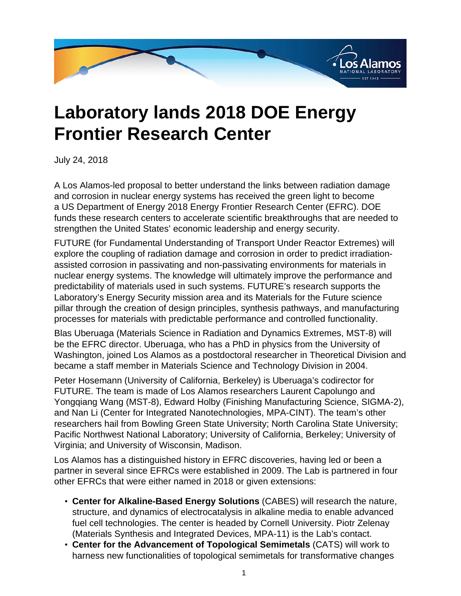

## **Laboratory lands 2018 DOE Energy Frontier Research Center**

July 24, 2018

A Los Alamos-led proposal to better understand the links between radiation damage and corrosion in nuclear energy systems has received the green light to become a US Department of Energy 2018 Energy Frontier Research Center (EFRC). DOE funds these research centers to accelerate scientific breakthroughs that are needed to strengthen the United States' economic leadership and energy security.

FUTURE (for Fundamental Understanding of Transport Under Reactor Extremes) will explore the coupling of radiation damage and corrosion in order to predict irradiationassisted corrosion in passivating and non-passivating environments for materials in nuclear energy systems. The knowledge will ultimately improve the performance and predictability of materials used in such systems. FUTURE's research supports the Laboratory's Energy Security mission area and its Materials for the Future science pillar through the creation of design principles, synthesis pathways, and manufacturing processes for materials with predictable performance and controlled functionality.

Blas Uberuaga (Materials Science in Radiation and Dynamics Extremes, MST-8) will be the EFRC director. Uberuaga, who has a PhD in physics from the University of Washington, joined Los Alamos as a postdoctoral researcher in Theoretical Division and became a staff member in Materials Science and Technology Division in 2004.

Peter Hosemann (University of California, Berkeley) is Uberuaga's codirector for FUTURE. The team is made of Los Alamos researchers Laurent Capolungo and Yongqiang Wang (MST-8), Edward Holby (Finishing Manufacturing Science, SIGMA-2), and Nan Li (Center for Integrated Nanotechnologies, MPA-CINT). The team's other researchers hail from Bowling Green State University; North Carolina State University; Pacific Northwest National Laboratory; University of California, Berkeley; University of Virginia; and University of Wisconsin, Madison.

Los Alamos has a distinguished history in EFRC discoveries, having led or been a partner in several since EFRCs were established in 2009. The Lab is partnered in four other EFRCs that were either named in 2018 or given extensions:

- **Center for Alkaline-Based Energy Solutions** (CABES) will research the nature, structure, and dynamics of electrocatalysis in alkaline media to enable advanced fuel cell technologies. The center is headed by Cornell University. Piotr Zelenay (Materials Synthesis and Integrated Devices, MPA-11) is the Lab's contact.
- **Center for the Advancement of Topological Semimetals** (CATS) will work to harness new functionalities of topological semimetals for transformative changes